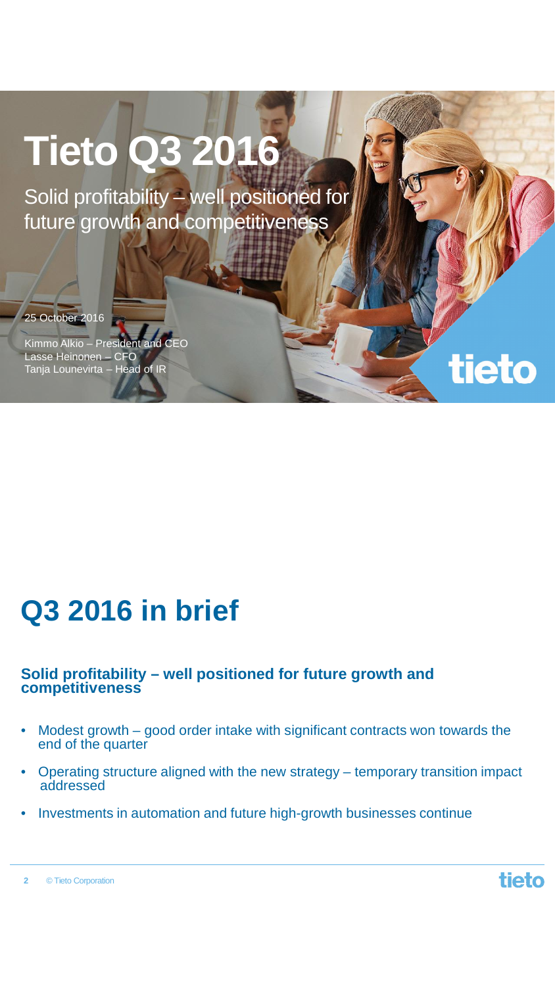# **Tieto Q3 2016**

Solid profitability – well positioned for future growth and competitiveness

25 October 2016

Kimmo Alkio – President and CEO Lasse Heinonen – CFO Tanja Lounevirta – Head of IR

## **Q3 2016 in brief**

### **Solid profitability – well positioned for future growth and competitiveness**

- Modest growth good order intake with significant contracts won towards the end of the quarter
- Operating structure aligned with the new strategy temporary transition impact addressed
- Investments in automation and future high-growth businesses continue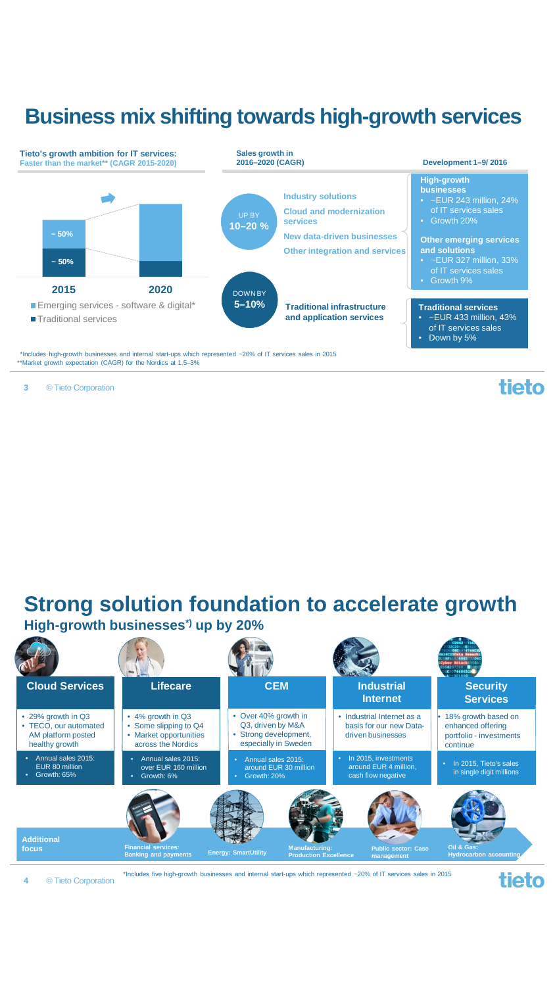### **Business mix shifting towards high-growth services**



© Tieto Corporation **3**

tieto

### **Strong solution foundation to accelerate growth High-growth businesses\*) up by 20%**



© Tieto Corporation **4**

\*Includes five high-growth businesses and internal start-ups which represented ~20% of IT services sales in 2015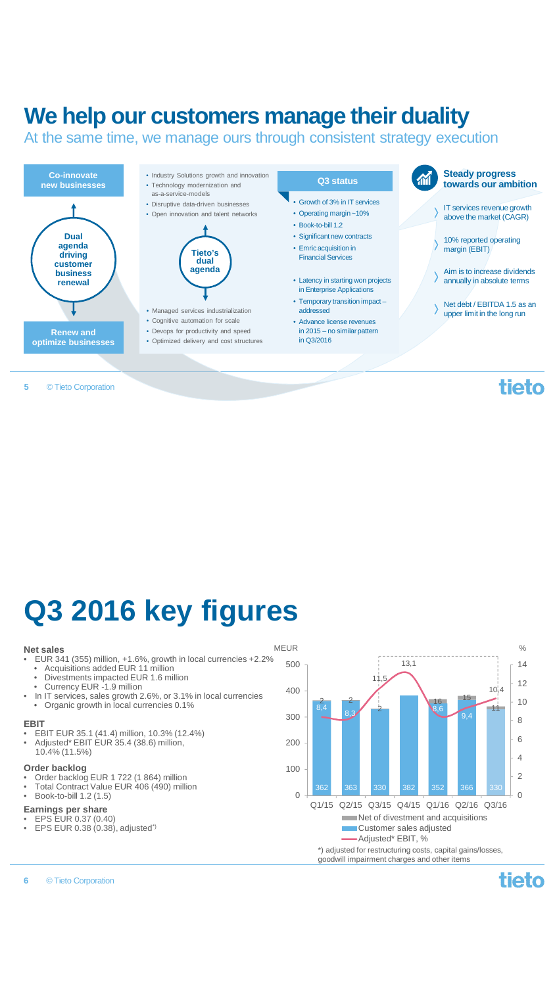### **We help our customers manage their duality**

At the same time, we manage ours through consistent strategy execution



#### © Tieto Corporation **5**

**Q3 2016 key figures**

### **Net sales**

- **et sales** MEUR<br>EUR 341 (355) million, +1.6%, growth in local currencies +2.2%  $\frac{1}{500}$ 
	- Acquisitions added EUR 11 million
- Acquisitions added EUR 11 million<br>• Divestments impacted EUR 1.6 million<br>• Currency EUR -1.9 million
- In IT services, sales growth 2.6%, or 3.1% in local currencies
- Organic growth in local currencies 0.1%

### **EBIT**

- EBIT EUR 35.1 (41.4) million, 10.3% (12.4%)
- Adjusted\* EBIT EUR 35.4 (38.6) million, 10.4% (11.5%)

### **Order backlog**

- Order backlog EUR 1 722 (1 864) million Total Contract Value EUR 406 (490) million
- Book-to-bill 1.2 (1.5)

- **Earnings per share** EPS EUR 0.37 (0.40)
- EPS EUR  $0.38(0.38)$ , adjusted<sup>\*</sup>)
- 

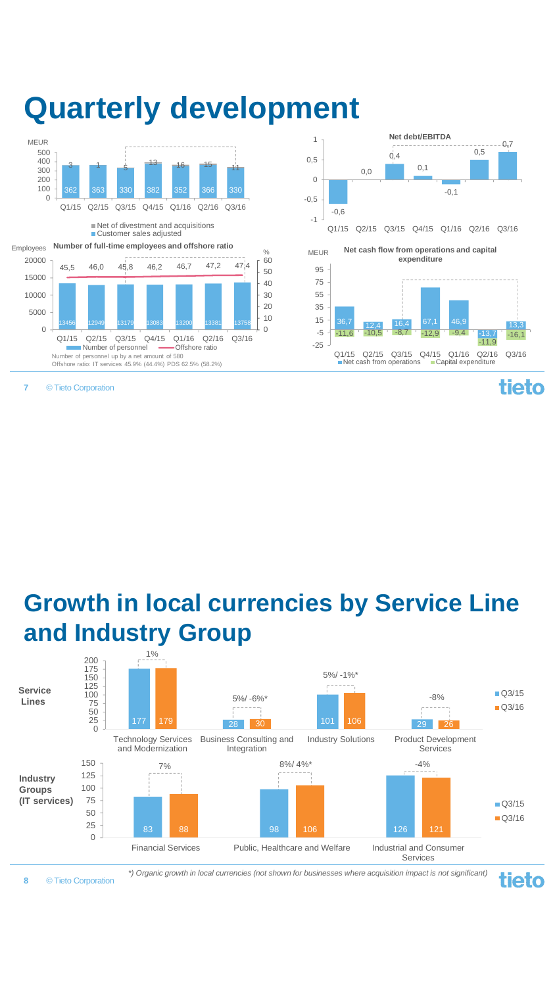

© Tieto Corporation

**7**

## **Quarterly development**



 $-11,6$   $-10,5$   $-8,7$   $-12,9$   $-9,4$ 

 $Q1/15$   $Q2/15$   $Q3/15$   $Q4/15$   $Q1/16$   $Q2/16$   $Q3/16$  **Capital expenditure** 

 $0.4$ 

**Net debt/EBITDA**

 $0.5$ 1

> -25 -5

0,5

 $-0<sub>n</sub>7$ 

**tieto** 

-16,1

-13,7

-11,9

### **Growth in local currencies by Service Line and Industry Group**



© Tieto Corporation

**8**

*\*) Organic growth in local currencies (not shown for businesses where acquisition impact is not significant)*

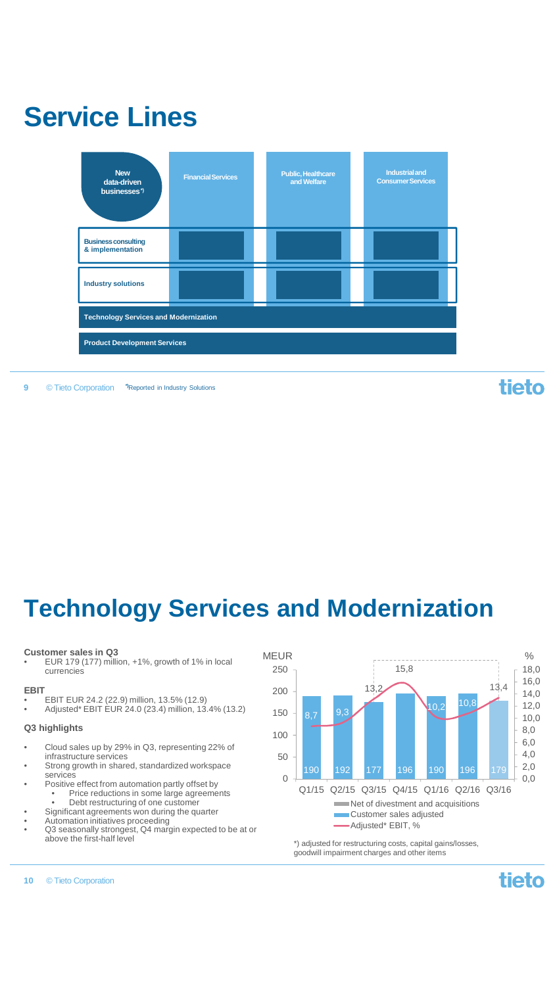

#### **9** © Tieto Corporation **\*)**Reported in Industry Solutions

tieto

### **Technology Services and Modernization**

### **Customer sales in Q3**

• EUR 179 (177) million, +1%, growth of 1% in local currencies

### **EBIT**

- EBIT EUR 24.2 (22.9) million, 13.5% (12.9)
- Adjusted\* EBIT EUR 24.0 (23.4) million, 13.4% (13.2)

### **Q3 highlights**

- Cloud sales up by 29% in Q3, representing 22% of infrastructure services
- Strong growth in shared, standardized workspace services • Positive effect from automation partly offset by
- Price reductions in some large agreements<br>• Debt restructuring of one customer Debt restructuring of one customer
- Significant agreements won during the quarter
- Automation initiatives proceeding
- Q3 seasonally strongest, Q4 margin expected to be at or above the first-half level



\*) adjusted for restructuring costs, capital gains/losses, goodwill impairment charges and other items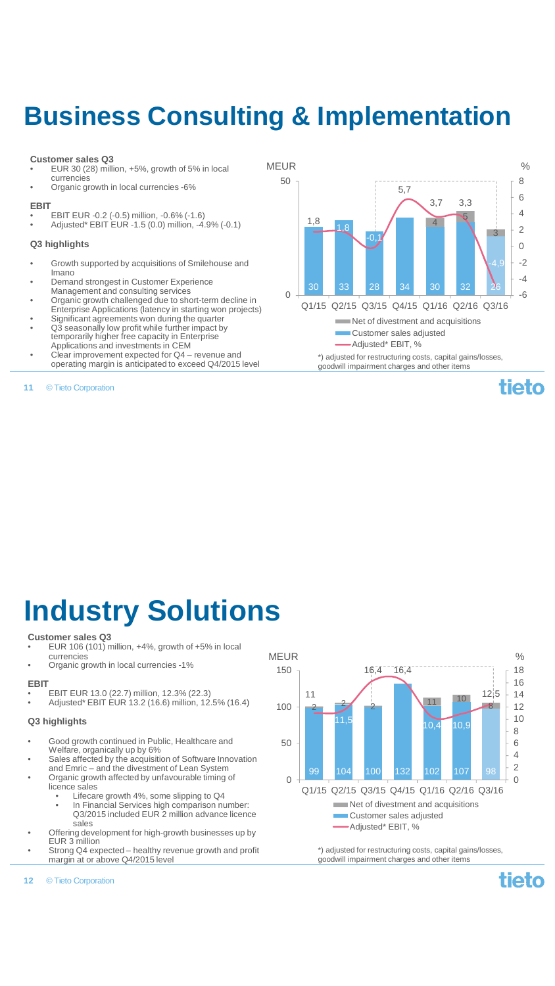## **Business Consulting & Implementation**

50

### **Customer sales Q3**

- EUR 30 (28) million, +5%, growth of 5% in local currencies
- Organic growth in local currencies -6%

### **EBIT**

• EBIT EUR -0.2 (-0.5) million, -0.6% (-1.6) • Adjusted\* EBIT EUR -1.5 (0.0) million, -4.9% (-0.1)

### **Q3 highlights**

- Growth supported by acquisitions of Smilehouse and Imano
- Demand strongest in Customer Experience
- Management and consulting services Organic growth challenged due to short-term decline in
- Enterprise Applications (latency in starting won projects)
- Significant agreements won during the quarter
- Q3 seasonally low profit while further impact by temporarily higher free capacity in Enterprise Applications and investments in CEM
- Clear improvement expected for Q4 revenue and operating margin is anticipated to exceed Q4/2015 level
- © Tieto Corporation **11**

30 33 28 34 30 32 26 4 5 3 1,8 1,8  $\overline{0}$ 3,7 3,3 -4,9 0 2 4 6  $\Omega$ Q1/15 Q2/15 Q3/15 Q4/15 Q1/16 Q2/16 Q3/16 Net of divestment and acquisitions Customer sales adjusted Adjusted\* EBIT, %

5,7

MEUR  $\%$ 

\*) adjusted for restructuring costs, capital gains/losses, goodwill impairment charges and other items

## **Industry Solutions**

### **Customer sales Q3**

- EUR 106 (101) million, +4%, growth of +5% in local currencies
- Organic growth in local currencies -1%

### **EBIT**

- EBIT EUR 13.0 (22.7) million, 12.3% (22.3)
- Adjusted\* EBIT EUR 13.2 (16.6) million, 12.5% (16.4)

### **Q3 highlights**

- Good growth continued in Public, Healthcare and Welfare, organically up by 6%
- Sales affected by the acquisition of Software Innovation
- and Emric and the divestment of Lean System • Organic growth affected by unfavourable timing of licence sales
	- Lifecare growth 4%, some slipping to Q4
		- In Financial Services high comparison number: Q3/2015 included EUR 2 million advance licence sales
- Offering development for high-growth businesses up by EUR 3 million
- Strong Q4 expected healthy revenue growth and profit margin at or above Q4/2015 level
- MEUR  $\%$  $16,4 - 16,4$ 150 18 16 12,5 11 14 11 10 100  $\frac{2}{2}$ 8 12 2 10 11,5  $10,4$  10, 8 50 6 4 2 99 104 100 132 102 107 98  $\Omega$  $\Omega$ Q1/15 Q2/15 Q3/15 Q4/15 Q1/16 Q2/16 Q3/16 Net of divestment and acquisitions ř. Customer sales adjusted Adjusted\* EBIT, %

\*) adjusted for restructuring costs, capital gains/losses, goodwill impairment charges and other items

© Tieto Corporation **12**

tieto

-6 -4 -2

tieto

8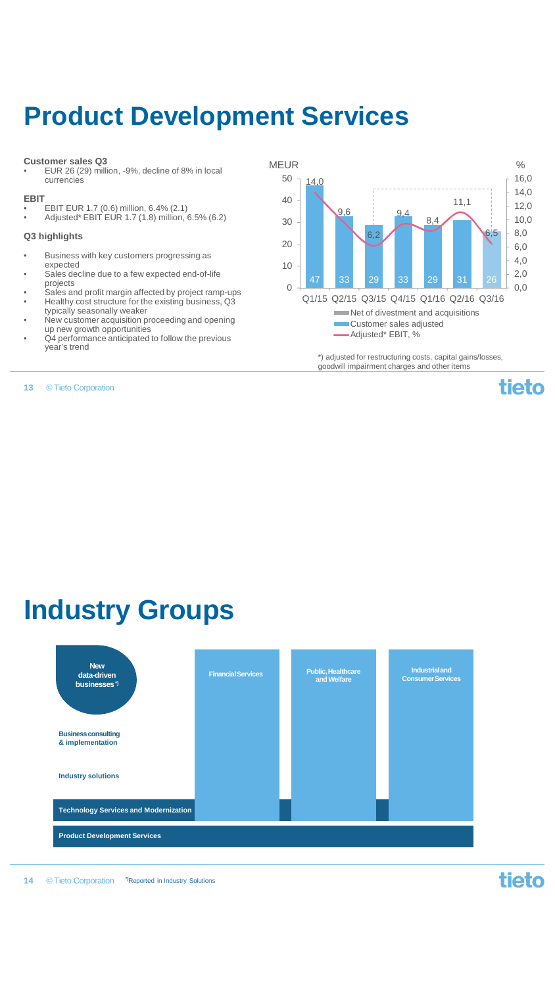### **Product Development Services**

### **Customer sales Q3**

• EUR 26 (29) million, -9%, decline of 8% in local currencies

### **EBIT**

- 
- EBIT EUR 1.7 (0.6) million, 6.4% (2.1) Adjusted\* EBIT EUR 1.7 (1.8) million, 6.5% (6.2)

### **Q3 highlights**

- Business with key customers progressing as expected
- Sales decline due to a few expected end-of-life projects
- Sales and profit margin affected by project ramp-ups
- Healthy cost structure for the existing business, Q3 typically seasonally weaker • New customer acquisition proceeding and opening
- up new growth opportunities
- Q4 performance anticipated to follow the previous year's trend

© Tieto Corporation **13**

47 33 29 33 29 31 26 14,0 9,6 6,2 9,4 8,4 11,1 6,5 0,0 2,0 4,0 6,0 8,0 10,0 12,0 14,0 16,0  $\Omega$ 10  $20$ 30 40 50 Q1/15 Q2/15 Q3/15 Q4/15 Q1/16 Q2/16 Q3/16 MEUR  $\%$ Net of divestment and acquisitions Customer sales adjusted Adjusted\* EBIT, %

> \*) adjusted for restructuring costs, capital gains/losses, goodwill impairment charges and other items



### **Industry Groups**



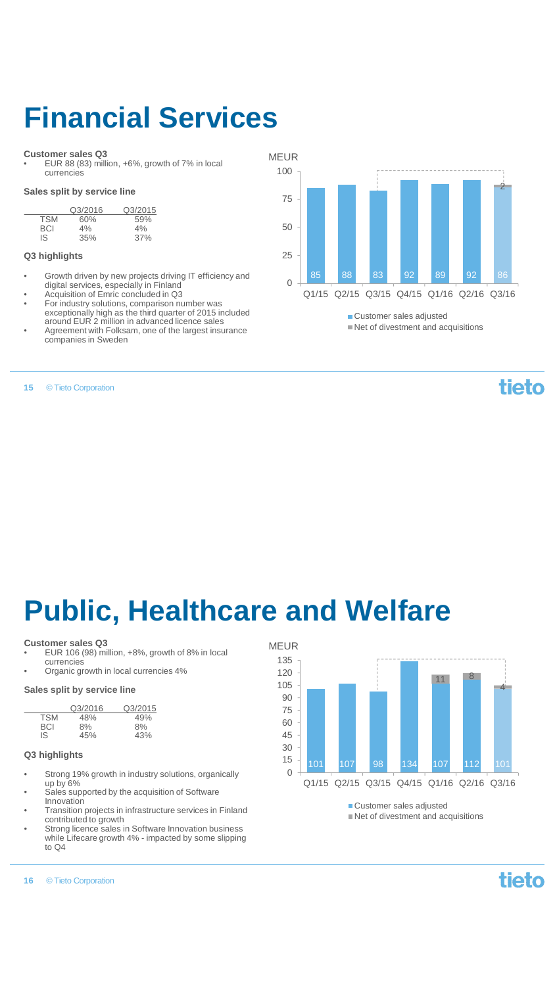## **Financial Services**

### **Customer sales Q3**

• EUR 88 (83) million, +6%, growth of 7% in local currencies

### **Sales split by service line**

|            | Q3/2016 | Q3/2015 |
|------------|---------|---------|
| <b>TSM</b> | 60%     | 59%     |
| BCI.       | 4%      | 4%      |
| IS         | 35%     | 37%     |

### **Q3 highlights**

- Growth driven by new projects driving IT efficiency and digital services, especially in Finland • Acquisition of Emric concluded in Q3
- 
- For industry solutions, comparison number was exceptionally high as the third quarter of 2015 included around EUR 2 million in advanced licence sales
- Agreement with Folksam, one of the largest insurance companies in Sweden

#### © Tieto Corporation **15**

MEUR



■ Customer sales adjusted Net of divestment and acquisitions

tieto

## **Public, Healthcare and Welfare**

#### **Customer sales Q3**

- EUR 106 (98) million, +8%, growth of 8% in local currencies
- Organic growth in local currencies 4%

### **Sales split by service line**

|            | Q3/2016 | Q3/2015 |
|------------|---------|---------|
| <b>TSM</b> | 48%     | 49%     |
| BCI        | 8%      | 8%      |
| IS.        | 45%     | 43%     |

### **Q3 highlights**

- Strong 19% growth in industry solutions, organically up by 6%
- Sales supported by the acquisition of Software Innovation
- Transition projects in infrastructure services in Finland contributed to growth
- Strong licence sales in Software Innovation business while Lifecare growth 4% - impacted by some slipping to Q4



Net of divestment and acquisitions

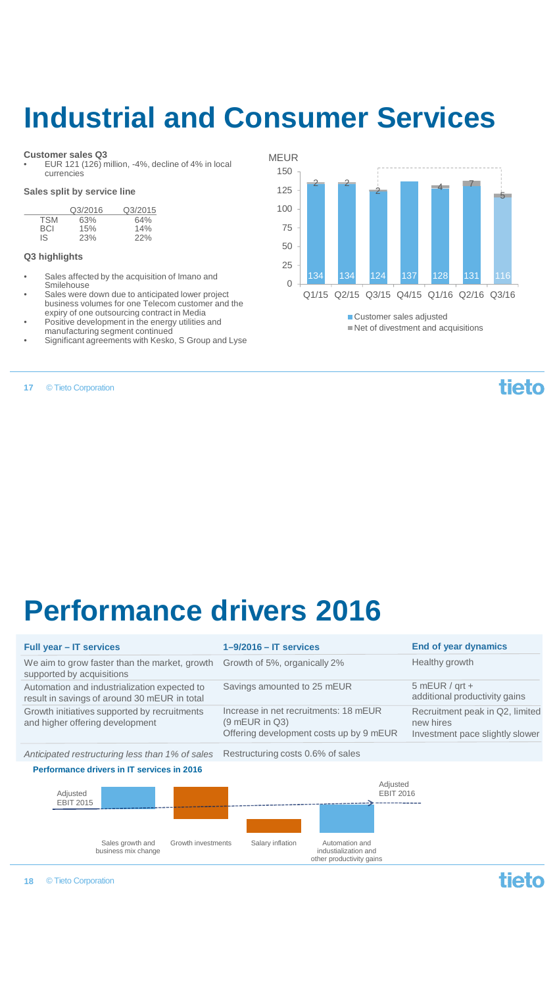## **Industrial and Consumer Services**

### **Customer sales Q3**

• EUR 121 (126) million, -4%, decline of 4% in local currencies

### **Sales split by service line**

|            | Q3/2016 | Q3/2015 |
|------------|---------|---------|
| <b>TSM</b> | 63%     | 64%     |
| BCI        | 15%     | 14%     |
| IS         | 23%     | 22%     |

### **Q3 highlights**

- Sales affected by the acquisition of Imano and Smilehouse
- Sales were down due to anticipated lower project business volumes for one Telecom customer and the expiry of one outsourcing contract in Media • Positive development in the energy utilities and
- manufacturing segment continued
- Significant agreements with Kesko, S Group and Lyse

© Tieto Corporation **17**

134 134 124 137 128 131 116  $2^2$ 2 4 7 5  $\Omega$ 25 50 75 100 125 150 Q1/15 Q2/15 Q3/15 Q4/15 Q1/16 Q2/16 Q3/16 MEUR

> ■ Customer sales adjusted Net of divestment and acquisitions

### tieto

## **Performance drivers 2016**

| Full year - IT services                                                                      | $1 - 9/2016 - IT$ services                                                                           | End of year dynamics                                                            |
|----------------------------------------------------------------------------------------------|------------------------------------------------------------------------------------------------------|---------------------------------------------------------------------------------|
| We aim to grow faster than the market, growth<br>supported by acquisitions                   | Growth of 5%, organically 2%                                                                         | Healthy growth                                                                  |
| Automation and industrialization expected to<br>result in savings of around 30 mEUR in total | Savings amounted to 25 mEUR                                                                          | $5 mEUR / grt +$<br>additional productivity gains                               |
| Growth initiatives supported by recruitments<br>and higher offering development              | Increase in net recruitments: 18 mEUR<br>$(9$ mEUR in Q3)<br>Offering development costs up by 9 mEUR | Recruitment peak in Q2, limited<br>new hires<br>Investment pace slightly slower |
| Anticipated restructuring less than 1% of sales                                              | Restructuring costs 0.6% of sales                                                                    |                                                                                 |
| Performance drivers in IT services in 2016                                                   |                                                                                                      |                                                                                 |
| Adjusted<br><b>EBIT 2015</b>                                                                 | Adjusted<br><b>EBIT 2016</b>                                                                         |                                                                                 |
| Sales growth and<br>Growth investments<br>business mix change                                | Automation and<br>Salary inflation<br>industialization and<br>other productivity gains               |                                                                                 |
| © Tieto Corporation<br>18                                                                    |                                                                                                      |                                                                                 |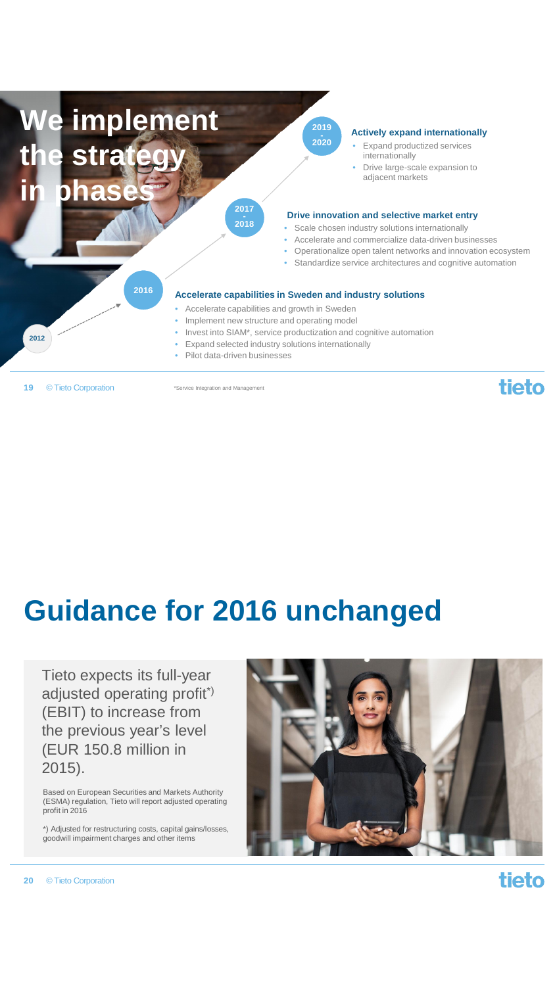

© Tieto Corporation **19**

\*Service Integration and Management

## **Guidance for 2016 unchanged**

Tieto expects its full-year adjusted operating profit\*) (EBIT) to increase from the previous year's level (EUR 150.8 million in 2015).

Based on European Securities and Markets Authority (ESMA) regulation, Tieto will report adjusted operating profit in 2016

\*) Adjusted for restructuring costs, capital gains/losses, goodwill impairment charges and other items